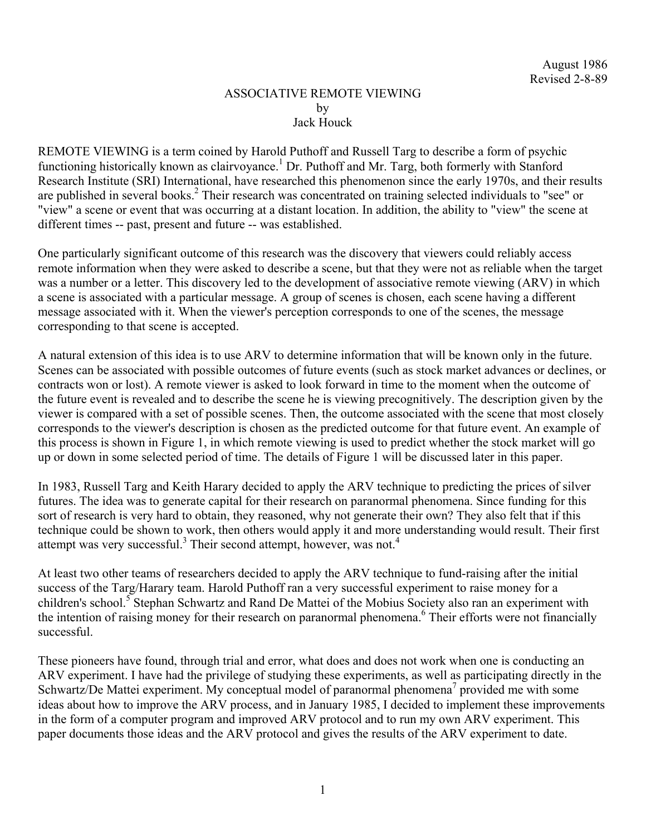## ASSOCIATIVE REMOTE VIEWING by Jack Houck

REMOTE VIEWING is a term coined by Harold Puthoff and Russell Targ to describe a form of psychic functioning historically known as clairvoyance.<sup>1</sup> Dr. Puthoff and Mr. Targ, both formerly with Stanford Research Institute (SRI) International, have researched this phenomenon since the early 1970s, and their results are published in several books.<sup>2</sup> Their research was concentrated on training selected individuals to "see" or "view" a scene or event that was occurring at a distant location. In addition, the ability to "view" the scene at different times -- past, present and future -- was established.

One particularly significant outcome of this research was the discovery that viewers could reliably access remote information when they were asked to describe a scene, but that they were not as reliable when the target was a number or a letter. This discovery led to the development of associative remote viewing (ARV) in which a scene is associated with a particular message. A group of scenes is chosen, each scene having a different message associated with it. When the viewer's perception corresponds to one of the scenes, the message corresponding to that scene is accepted.

A natural extension of this idea is to use ARV to determine information that will be known only in the future. Scenes can be associated with possible outcomes of future events (such as stock market advances or declines, or contracts won or lost). A remote viewer is asked to look forward in time to the moment when the outcome of the future event is revealed and to describe the scene he is viewing precognitively. The description given by the viewer is compared with a set of possible scenes. Then, the outcome associated with the scene that most closely corresponds to the viewer's description is chosen as the predicted outcome for that future event. An example of this process is shown in Figure 1, in which remote viewing is used to predict whether the stock market will go up or down in some selected period of time. The details of Figure 1 will be discussed later in this paper.

In 1983, Russell Targ and Keith Harary decided to apply the ARV technique to predicting the prices of silver futures. The idea was to generate capital for their research on paranormal phenomena. Since funding for this sort of research is very hard to obtain, they reasoned, why not generate their own? They also felt that if this technique could be shown to work, then others would apply it and more understanding would result. Their first attempt was very successful.<sup>3</sup> Their second attempt, however, was not.<sup>4</sup>

At least two other teams of researchers decided to apply the ARV technique to fund-raising after the initial success of the Targ/Harary team. Harold Puthoff ran a very successful experiment to raise money for a children's school.<sup>5</sup> Stephan Schwartz and Rand De Mattei of the Mobius Society also ran an experiment with the intention of raising money for their research on paranormal phenomena.<sup>6</sup> Their efforts were not financially successful.

These pioneers have found, through trial and error, what does and does not work when one is conducting an ARV experiment. I have had the privilege of studying these experiments, as well as participating directly in the Schwartz/De Mattei experiment. My conceptual model of paranormal phenomena<sup>7</sup> provided me with some ideas about how to improve the ARV process, and in January 1985, I decided to implement these improvements in the form of a computer program and improved ARV protocol and to run my own ARV experiment. This paper documents those ideas and the ARV protocol and gives the results of the ARV experiment to date.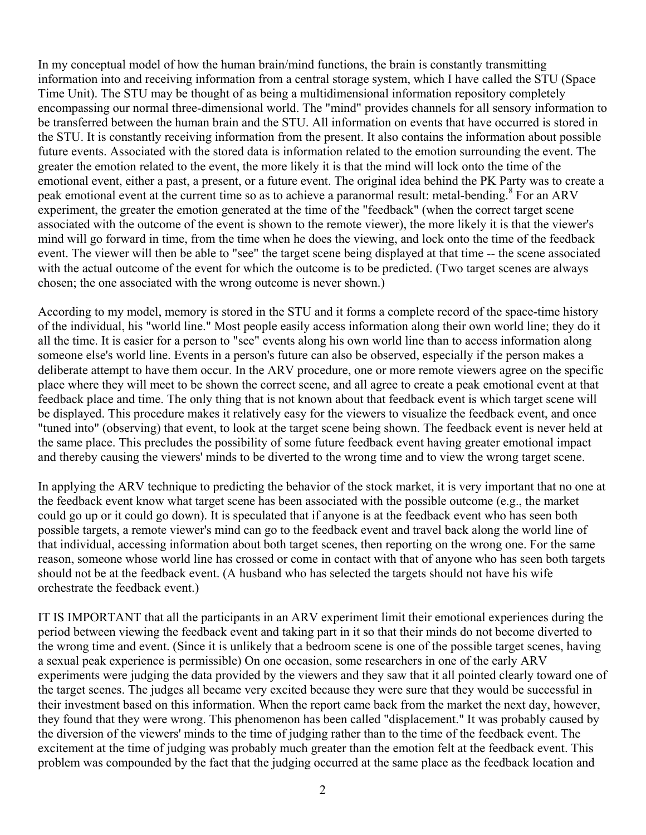In my conceptual model of how the human brain/mind functions, the brain is constantly transmitting information into and receiving information from a central storage system, which I have called the STU (Space Time Unit). The STU may be thought of as being a multidimensional information repository completely encompassing our normal three-dimensional world. The "mind" provides channels for all sensory information to be transferred between the human brain and the STU. All information on events that have occurred is stored in the STU. It is constantly receiving information from the present. It also contains the information about possible future events. Associated with the stored data is information related to the emotion surrounding the event. The greater the emotion related to the event, the more likely it is that the mind will lock onto the time of the emotional event, either a past, a present, or a future event. The original idea behind the PK Party was to create a peak emotional event at the current time so as to achieve a paranormal result: metal-bending.<sup>8</sup> For an ARV experiment, the greater the emotion generated at the time of the "feedback" (when the correct target scene associated with the outcome of the event is shown to the remote viewer), the more likely it is that the viewer's mind will go forward in time, from the time when he does the viewing, and lock onto the time of the feedback event. The viewer will then be able to "see" the target scene being displayed at that time -- the scene associated with the actual outcome of the event for which the outcome is to be predicted. (Two target scenes are always chosen; the one associated with the wrong outcome is never shown.)

According to my model, memory is stored in the STU and it forms a complete record of the space-time history of the individual, his "world line." Most people easily access information along their own world line; they do it all the time. It is easier for a person to "see" events along his own world line than to access information along someone else's world line. Events in a person's future can also be observed, especially if the person makes a deliberate attempt to have them occur. In the ARV procedure, one or more remote viewers agree on the specific place where they will meet to be shown the correct scene, and all agree to create a peak emotional event at that feedback place and time. The only thing that is not known about that feedback event is which target scene will be displayed. This procedure makes it relatively easy for the viewers to visualize the feedback event, and once "tuned into" (observing) that event, to look at the target scene being shown. The feedback event is never held at the same place. This precludes the possibility of some future feedback event having greater emotional impact and thereby causing the viewers' minds to be diverted to the wrong time and to view the wrong target scene.

In applying the ARV technique to predicting the behavior of the stock market, it is very important that no one at the feedback event know what target scene has been associated with the possible outcome (e.g., the market could go up or it could go down). It is speculated that if anyone is at the feedback event who has seen both possible targets, a remote viewer's mind can go to the feedback event and travel back along the world line of that individual, accessing information about both target scenes, then reporting on the wrong one. For the same reason, someone whose world line has crossed or come in contact with that of anyone who has seen both targets should not be at the feedback event. (A husband who has selected the targets should not have his wife orchestrate the feedback event.)

IT IS IMPORTANT that all the participants in an ARV experiment limit their emotional experiences during the period between viewing the feedback event and taking part in it so that their minds do not become diverted to the wrong time and event. (Since it is unlikely that a bedroom scene is one of the possible target scenes, having a sexual peak experience is permissible) On one occasion, some researchers in one of the early ARV experiments were judging the data provided by the viewers and they saw that it all pointed clearly toward one of the target scenes. The judges all became very excited because they were sure that they would be successful in their investment based on this information. When the report came back from the market the next day, however, they found that they were wrong. This phenomenon has been called "displacement." It was probably caused by the diversion of the viewers' minds to the time of judging rather than to the time of the feedback event. The excitement at the time of judging was probably much greater than the emotion felt at the feedback event. This problem was compounded by the fact that the judging occurred at the same place as the feedback location and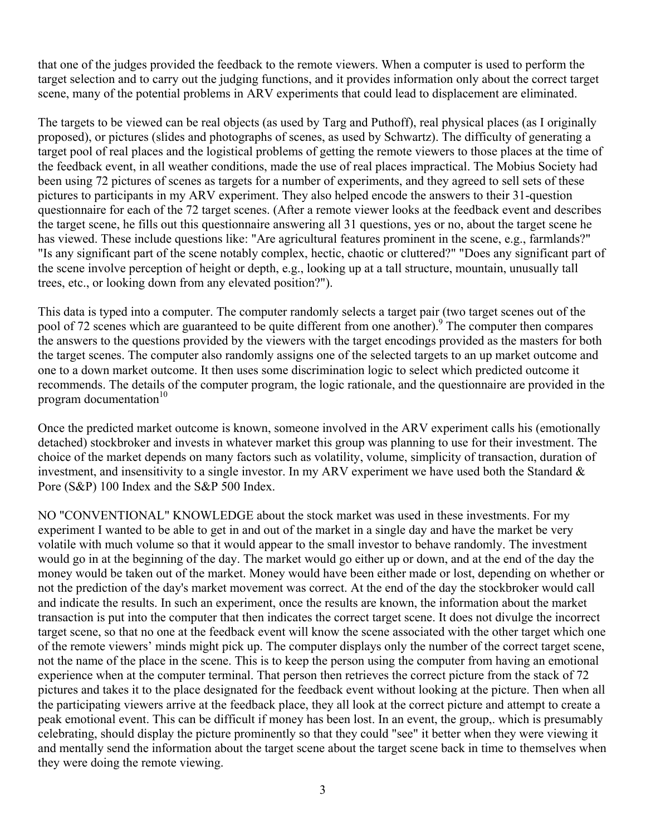that one of the judges provided the feedback to the remote viewers. When a computer is used to perform the target selection and to carry out the judging functions, and it provides information only about the correct target scene, many of the potential problems in ARV experiments that could lead to displacement are eliminated.

The targets to be viewed can be real objects (as used by Targ and Puthoff), real physical places (as I originally proposed), or pictures (slides and photographs of scenes, as used by Schwartz). The difficulty of generating a target pool of real places and the logistical problems of getting the remote viewers to those places at the time of the feedback event, in all weather conditions, made the use of real places impractical. The Mobius Society had been using 72 pictures of scenes as targets for a number of experiments, and they agreed to sell sets of these pictures to participants in my ARV experiment. They also helped encode the answers to their 31-question questionnaire for each of the 72 target scenes. (After a remote viewer looks at the feedback event and describes the target scene, he fills out this questionnaire answering all 31 questions, yes or no, about the target scene he has viewed. These include questions like: "Are agricultural features prominent in the scene, e.g., farmlands?" "Is any significant part of the scene notably complex, hectic, chaotic or cluttered?" "Does any significant part of the scene involve perception of height or depth, e.g., looking up at a tall structure, mountain, unusually tall trees, etc., or looking down from any elevated position?").

This data is typed into a computer. The computer randomly selects a target pair (two target scenes out of the pool of 72 scenes which are guaranteed to be quite different from one another). <sup>9</sup> The computer then compares the answers to the questions provided by the viewers with the target encodings provided as the masters for both the target scenes. The computer also randomly assigns one of the selected targets to an up market outcome and one to a down market outcome. It then uses some discrimination logic to select which predicted outcome it recommends. The details of the computer program, the logic rationale, and the questionnaire are provided in the program documentation $10$ 

Once the predicted market outcome is known, someone involved in the ARV experiment calls his (emotionally detached) stockbroker and invests in whatever market this group was planning to use for their investment. The choice of the market depends on many factors such as volatility, volume, simplicity of transaction, duration of investment, and insensitivity to a single investor. In my ARV experiment we have used both the Standard  $\&$ Pore (S&P) 100 Index and the S&P 500 Index.

NO "CONVENTIONAL" KNOWLEDGE about the stock market was used in these investments. For my experiment I wanted to be able to get in and out of the market in a single day and have the market be very volatile with much volume so that it would appear to the small investor to behave randomly. The investment would go in at the beginning of the day. The market would go either up or down, and at the end of the day the money would be taken out of the market. Money would have been either made or lost, depending on whether or not the prediction of the day's market movement was correct. At the end of the day the stockbroker would call and indicate the results. In such an experiment, once the results are known, the information about the market transaction is put into the computer that then indicates the correct target scene. It does not divulge the incorrect target scene, so that no one at the feedback event will know the scene associated with the other target which one of the remote viewers' minds might pick up. The computer displays only the number of the correct target scene, not the name of the place in the scene. This is to keep the person using the computer from having an emotional experience when at the computer terminal. That person then retrieves the correct picture from the stack of 72 pictures and takes it to the place designated for the feedback event without looking at the picture. Then when all the participating viewers arrive at the feedback place, they all look at the correct picture and attempt to create a peak emotional event. This can be difficult if money has been lost. In an event, the group,. which is presumably celebrating, should display the picture prominently so that they could "see" it better when they were viewing it and mentally send the information about the target scene about the target scene back in time to themselves when they were doing the remote viewing.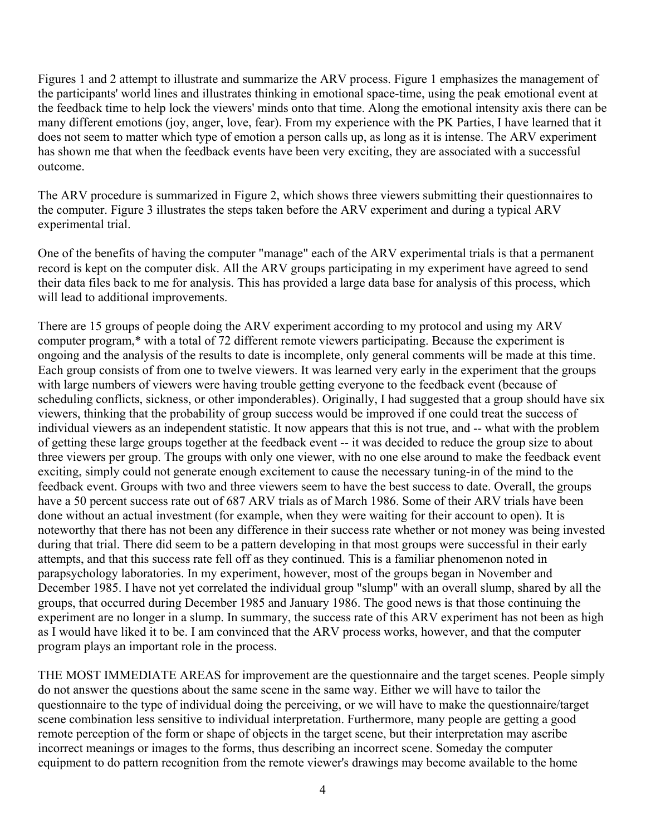Figures 1 and 2 attempt to illustrate and summarize the ARV process. Figure 1 emphasizes the management of the participants' world lines and illustrates thinking in emotional space-time, using the peak emotional event at the feedback time to help lock the viewers' minds onto that time. Along the emotional intensity axis there can be many different emotions (joy, anger, love, fear). From my experience with the PK Parties, I have learned that it does not seem to matter which type of emotion a person calls up, as long as it is intense. The ARV experiment has shown me that when the feedback events have been very exciting, they are associated with a successful outcome.

The ARV procedure is summarized in Figure 2, which shows three viewers submitting their questionnaires to the computer. Figure 3 illustrates the steps taken before the ARV experiment and during a typical ARV experimental trial.

One of the benefits of having the computer "manage" each of the ARV experimental trials is that a permanent record is kept on the computer disk. All the ARV groups participating in my experiment have agreed to send their data files back to me for analysis. This has provided a large data base for analysis of this process, which will lead to additional improvements.

There are 15 groups of people doing the ARV experiment according to my protocol and using my ARV computer program,\* with a total of 72 different remote viewers participating. Because the experiment is ongoing and the analysis of the results to date is incomplete, only general comments will be made at this time. Each group consists of from one to twelve viewers. It was learned very early in the experiment that the groups with large numbers of viewers were having trouble getting everyone to the feedback event (because of scheduling conflicts, sickness, or other imponderables). Originally, I had suggested that a group should have six viewers, thinking that the probability of group success would be improved if one could treat the success of individual viewers as an independent statistic. It now appears that this is not true, and -- what with the problem of getting these large groups together at the feedback event -- it was decided to reduce the group size to about three viewers per group. The groups with only one viewer, with no one else around to make the feedback event exciting, simply could not generate enough excitement to cause the necessary tuning-in of the mind to the feedback event. Groups with two and three viewers seem to have the best success to date. Overall, the groups have a 50 percent success rate out of 687 ARV trials as of March 1986. Some of their ARV trials have been done without an actual investment (for example, when they were waiting for their account to open). It is noteworthy that there has not been any difference in their success rate whether or not money was being invested during that trial. There did seem to be a pattern developing in that most groups were successful in their early attempts, and that this success rate fell off as they continued. This is a familiar phenomenon noted in parapsychology laboratories. In my experiment, however, most of the groups began in November and December 1985. I have not yet correlated the individual group "slump" with an overall slump, shared by all the groups, that occurred during December 1985 and January 1986. The good news is that those continuing the experiment are no longer in a slump. In summary, the success rate of this ARV experiment has not been as high as I would have liked it to be. I am convinced that the ARV process works, however, and that the computer program plays an important role in the process.

THE MOST IMMEDIATE AREAS for improvement are the questionnaire and the target scenes. People simply do not answer the questions about the same scene in the same way. Either we will have to tailor the questionnaire to the type of individual doing the perceiving, or we will have to make the questionnaire/target scene combination less sensitive to individual interpretation. Furthermore, many people are getting a good remote perception of the form or shape of objects in the target scene, but their interpretation may ascribe incorrect meanings or images to the forms, thus describing an incorrect scene. Someday the computer equipment to do pattern recognition from the remote viewer's drawings may become available to the home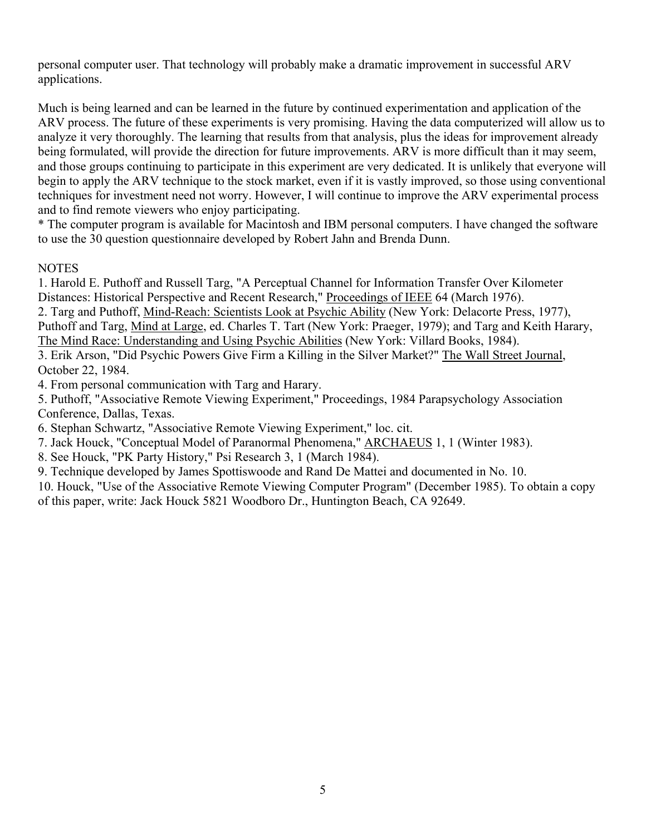personal computer user. That technology will probably make a dramatic improvement in successful ARV applications.

Much is being learned and can be learned in the future by continued experimentation and application of the ARV process. The future of these experiments is very promising. Having the data computerized will allow us to analyze it very thoroughly. The learning that results from that analysis, plus the ideas for improvement already being formulated, will provide the direction for future improvements. ARV is more difficult than it may seem, and those groups continuing to participate in this experiment are very dedicated. It is unlikely that everyone will begin to apply the ARV technique to the stock market, even if it is vastly improved, so those using conventional techniques for investment need not worry. However, I will continue to improve the ARV experimental process and to find remote viewers who enjoy participating.

\* The computer program is available for Macintosh and IBM personal computers. I have changed the software to use the 30 question questionnaire developed by Robert Jahn and Brenda Dunn.

## **NOTES**

1. Harold E. Puthoff and Russell Targ, "A Perceptual Channel for Information Transfer Over Kilometer Distances: Historical Perspective and Recent Research," Proceedings of IEEE 64 (March 1976).

2. Targ and Puthoff, Mind-Reach: Scientists Look at Psychic Ability (New York: Delacorte Press, 1977), Puthoff and Targ, Mind at Large, ed. Charles T. Tart (New York: Praeger, 1979); and Targ and Keith Harary, The Mind Race: Understanding and Using Psychic Abilities (New York: Villard Books, 1984).

3. Erik Arson, "Did Psychic Powers Give Firm a Killing in the Silver Market?" The Wall Street Journal, October 22, 1984.

4. From personal communication with Targ and Harary.

5. Puthoff, "Associative Remote Viewing Experiment," Proceedings, 1984 Parapsychology Association Conference, Dallas, Texas.

6. Stephan Schwartz, "Associative Remote Viewing Experiment," loc. cit.

7. Jack Houck, "Conceptual Model of Paranormal Phenomena," ARCHAEUS 1, 1 (Winter 1983).

8. See Houck, "PK Party History," Psi Research 3, 1 (March 1984).

9. Technique developed by James Spottiswoode and Rand De Mattei and documented in No. 10.

10. Houck, "Use of the Associative Remote Viewing Computer Program" (December 1985). To obtain a copy of this paper, write: Jack Houck 5821 Woodboro Dr., Huntington Beach, CA 92649.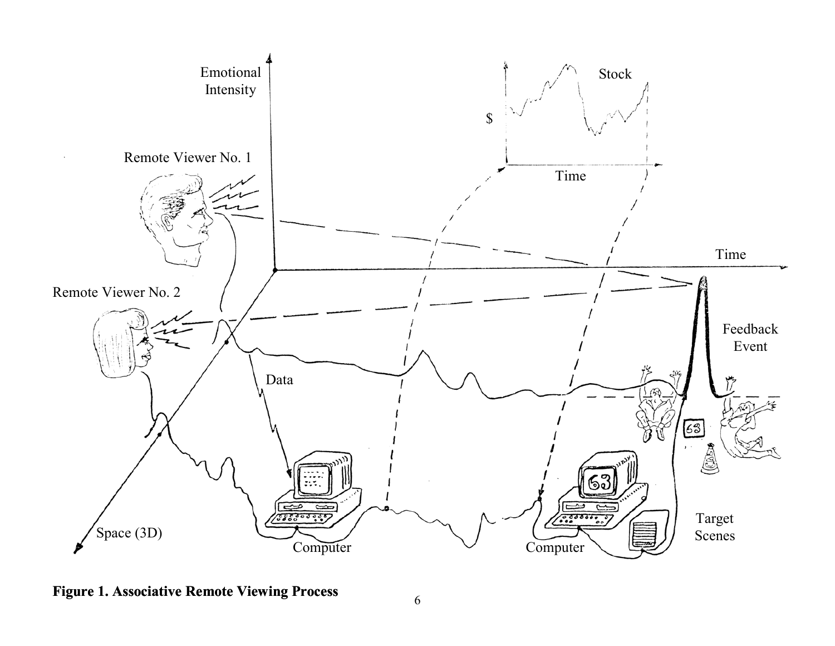

**Figure 1. Associative Remote Viewing Process**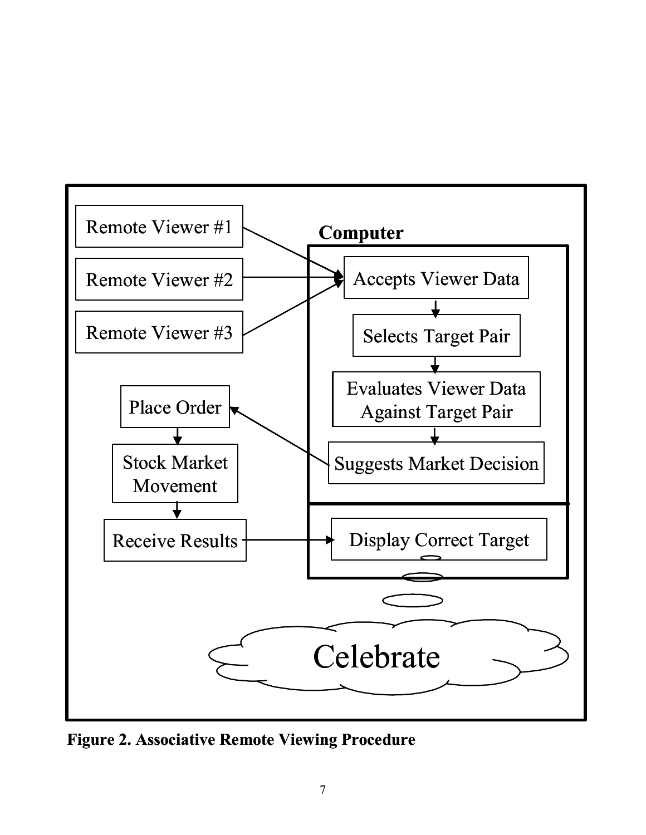

**Figure 2. Associative Remote Viewing Procedure**